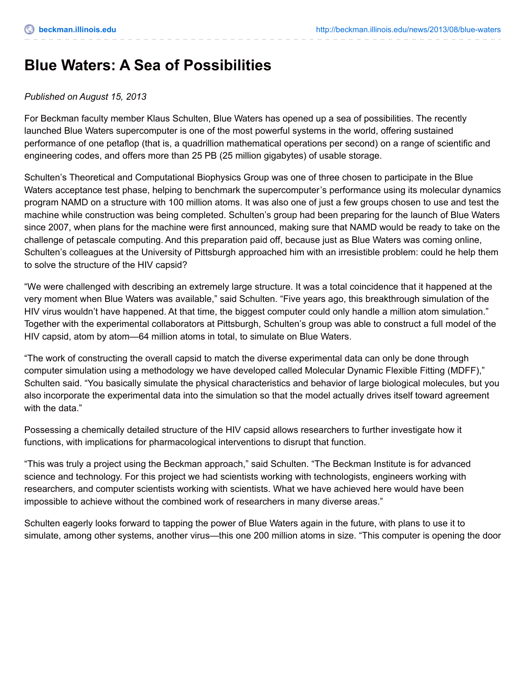## **Blue Waters: A Sea of Possibilities**

## *Published on August 15, 2013*

For Beckman faculty member Klaus Schulten, Blue Waters has opened up a sea of possibilities. The recently launched Blue Waters supercomputer is one of the most powerful systems in the world, offering sustained performance of one petaflop (that is, a quadrillion mathematical operations per second) on a range of scientific and engineering codes, and offers more than 25 PB (25 million gigabytes) of usable storage.

Schulten's Theoretical and Computational Biophysics Group was one of three chosen to participate in the Blue Waters acceptance test phase, helping to benchmark the supercomputer's performance using its molecular dynamics program NAMD on a structure with 100 million atoms. It was also one of just a few groups chosen to use and test the machine while construction was being completed. Schulten's group had been preparing for the launch of Blue Waters since 2007, when plans for the machine were first announced, making sure that NAMD would be ready to take on the challenge of petascale computing. And this preparation paid off, because just as Blue Waters was coming online, Schulten's colleagues at the University of Pittsburgh approached him with an irresistible problem: could he help them to solve the structure of the HIV capsid?

"We were challenged with describing an extremely large structure. It was a total coincidence that it happened at the very moment when Blue Waters was available," said Schulten. "Five years ago, this breakthrough simulation of the HIV virus wouldn't have happened. At that time, the biggest computer could only handle a million atom simulation." Together with the experimental collaborators at Pittsburgh, Schulten's group was able to construct a full model of the HIV capsid, atom by atom—64 million atoms in total, to simulate on Blue Waters.

"The work of constructing the overall capsid to match the diverse experimental data can only be done through computer simulation using a methodology we have developed called Molecular Dynamic Flexible Fitting (MDFF)," Schulten said. "You basically simulate the physical characteristics and behavior of large biological molecules, but you also incorporate the experimental data into the simulation so that the model actually drives itself toward agreement with the data."

Possessing a chemically detailed structure of the HIV capsid allows researchers to further investigate how it functions, with implications for pharmacological interventions to disrupt that function.

"This was truly a project using the Beckman approach," said Schulten. "The Beckman Institute is for advanced science and technology. For this project we had scientists working with technologists, engineers working with researchers, and computer scientists working with scientists. What we have achieved here would have been impossible to achieve without the combined work of researchers in many diverse areas."

Schulten eagerly looks forward to tapping the power of Blue Waters again in the future, with plans to use it to simulate, among other systems, another virus—this one 200 million atoms in size. "This computer is opening the door